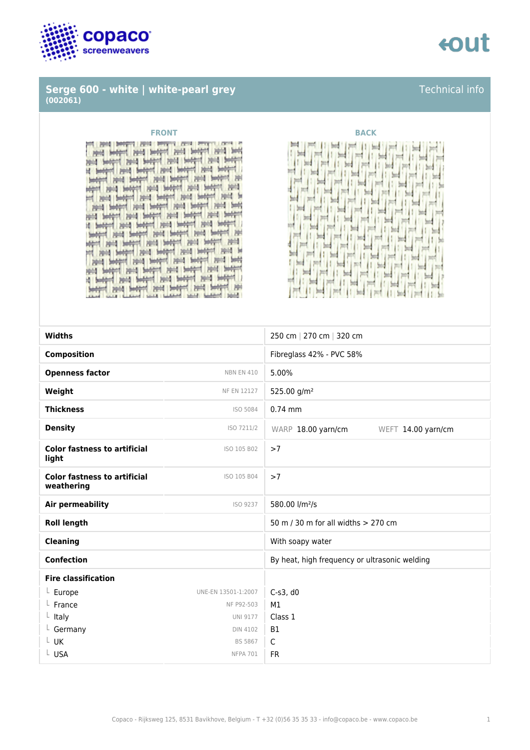

### **Serge 600 - white | white-pearl grey (002061)**

cout

### **FRONT BACK**

**The Part and P THE SPACE** and letter and letter and letter and lett I sent held her head sent me h سند The base when the hotel and HE HAN HE HAN HE 1 100 paid botted method bott here and I and begin and begin and begin and b and bear rest bear man and bear and and begin mid begin mid begin mid begin it begin met begin met begin met beg HU. of past Senared past Senared past Senared past Bill held held held held held held of met hope met hope hope met het met and begin that begin here here here post began held began paid began held began I have been been and been been been a FELTIME FLY



| <b>Widths</b>                                     |                     | 250 cm   270 cm   320 cm                      |
|---------------------------------------------------|---------------------|-----------------------------------------------|
| <b>Composition</b>                                |                     | Fibreglass 42% - PVC 58%                      |
| <b>Openness factor</b>                            | <b>NBN EN 410</b>   | 5.00%                                         |
| Weight                                            | <b>NF EN 12127</b>  | 525.00 g/m <sup>2</sup>                       |
| <b>Thickness</b>                                  | ISO 5084            | $0.74$ mm                                     |
| <b>Density</b>                                    | ISO 7211/2          | WARP 18.00 yarn/cm<br>WEFT 14.00 yarn/cm      |
| <b>Color fastness to artificial</b><br>light      | ISO 105 B02         | >7                                            |
| <b>Color fastness to artificial</b><br>weathering | ISO 105 B04         | >7                                            |
| Air permeability                                  | ISO 9237            | 580.00 l/m <sup>2</sup> /s                    |
| <b>Roll length</b>                                |                     | 50 m / 30 m for all widths $> 270$ cm         |
| <b>Cleaning</b>                                   |                     | With soapy water                              |
| <b>Confection</b>                                 |                     | By heat, high frequency or ultrasonic welding |
| <b>Fire classification</b>                        |                     |                                               |
| L Europe                                          | UNE-EN 13501-1:2007 | $C-S3$ , d $O$                                |
| France                                            | NF P92-503          | M1                                            |
| $L$ Italy                                         | <b>UNI 9177</b>     | Class 1                                       |
| $L$ Germany                                       | <b>DIN 4102</b>     | <b>B1</b>                                     |
| $L$ UK                                            | <b>BS 5867</b>      | $\mathsf C$                                   |
| L USA                                             | <b>NFPA 701</b>     | <b>FR</b>                                     |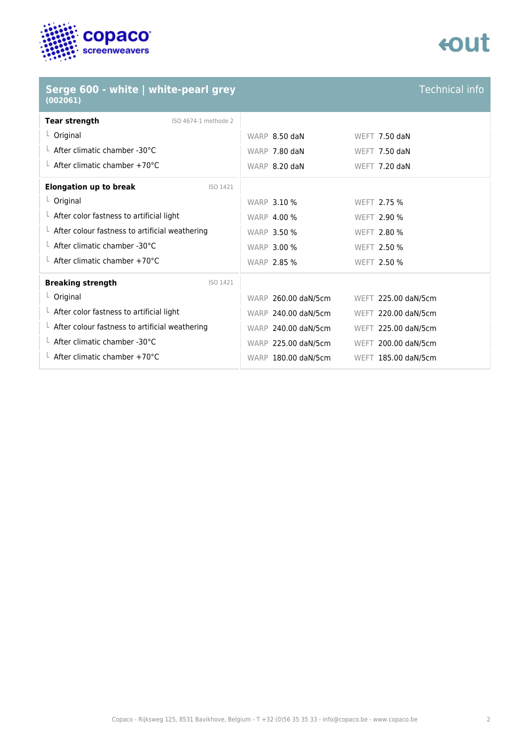

### **Serge 600 - white | white-pearl grey (002061)**

## tout

Technical info

| $\mathbf{v}$                                           |                     |                      |
|--------------------------------------------------------|---------------------|----------------------|
| <b>Tear strength</b><br>ISO 4674-1 methode 2           |                     |                      |
| $L$ Original                                           | WARP 8.50 daN       | WEFT 7.50 daN        |
| $\perp$ After climatic chamber -30°C                   | WARP 7.80 daN       | <b>WEFT 7.50 daN</b> |
| $\perp$ After climatic chamber +70°C                   | WARP 8.20 daN       | <b>WEFT 7.20 daN</b> |
| <b>Elongation up to break</b><br>ISO 1421              |                     |                      |
| $L$ Original                                           | <b>WARP 3.10 %</b>  | WEFT 2.75 %          |
| $\perp$ After color fastness to artificial light       | <b>WARP 4.00 %</b>  | <b>WEFT 2.90 %</b>   |
| $\perp$ After colour fastness to artificial weathering | <b>WARP 3.50 %</b>  | WEFT 2.80 %          |
| $\perp$ After climatic chamber -30°C                   | <b>WARP 3.00 %</b>  | WEFT 2.50 %          |
| $\perp$ After climatic chamber +70°C                   | <b>WARP 2.85 %</b>  | WEFT 2.50 %          |
| <b>Breaking strength</b><br>ISO 1421                   |                     |                      |
| $L$ Original                                           | WARP 260.00 daN/5cm | WEFT 225.00 daN/5cm  |
| $\perp$ After color fastness to artificial light       | WARP 240.00 daN/5cm | WEFT 220.00 daN/5cm  |
| $\perp$ After colour fastness to artificial weathering | WARP 240.00 daN/5cm | WEFT 225.00 daN/5cm  |
| $\perp$ After climatic chamber -30°C                   | WARP 225.00 daN/5cm | WEFT 200.00 daN/5cm  |
| $\perp$ After climatic chamber +70°C                   | WARP 180.00 daN/5cm | WEFT 185.00 daN/5cm  |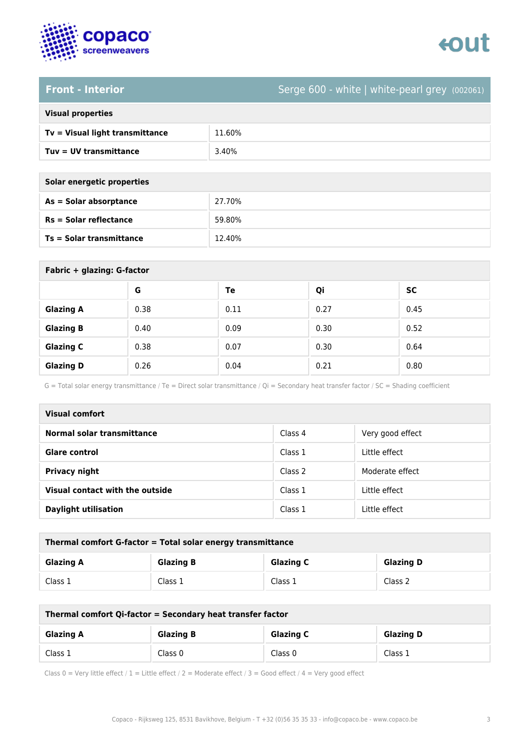

## tout

**Front - Interior** Serge 600 - white | white-pearl grey (002061)

### **Visual properties**

| Tv = Visual light transmittance | 11.60% |
|---------------------------------|--------|
| $Tuv = UV$ transmittance        | 3.40%  |

**Solar energetic properties**

| As = Solar absorptance   | 27.70% |
|--------------------------|--------|
| $Rs = Solar$ reflectance | 59.80% |
| Ts = Solar transmittance | 12.40% |

| Fabric + glazing: G-factor |      |      |      |      |
|----------------------------|------|------|------|------|
|                            | G    | Te   | Qi   | SC   |
| <b>Glazing A</b>           | 0.38 | 0.11 | 0.27 | 0.45 |
| <b>Glazing B</b>           | 0.40 | 0.09 | 0.30 | 0.52 |
| <b>Glazing C</b>           | 0.38 | 0.07 | 0.30 | 0.64 |
| <b>Glazing D</b>           | 0.26 | 0.04 | 0.21 | 0.80 |

G = Total solar energy transmittance / Te = Direct solar transmittance / Qi = Secondary heat transfer factor / SC = Shading coefficient

| Visual comfort                  |         |                  |  |
|---------------------------------|---------|------------------|--|
| Normal solar transmittance      | Class 4 | Very good effect |  |
| <b>Glare control</b>            | Class 1 | Little effect    |  |
| <b>Privacy night</b>            | Class 2 | Moderate effect  |  |
| Visual contact with the outside | Class 1 | Little effect    |  |
| <b>Daylight utilisation</b>     | Class 1 | Little effect    |  |

| Thermal comfort G-factor = Total solar energy transmittance                  |         |         |         |  |
|------------------------------------------------------------------------------|---------|---------|---------|--|
| <b>Glazing C</b><br><b>Glazing B</b><br><b>Glazing D</b><br><b>Glazing A</b> |         |         |         |  |
| Class 1                                                                      | Class 1 | Class 1 | Class 2 |  |

| Thermal comfort Qi-factor = Secondary heat transfer factor                   |         |         |         |  |
|------------------------------------------------------------------------------|---------|---------|---------|--|
| <b>Glazing B</b><br><b>Glazing C</b><br><b>Glazing D</b><br><b>Glazing A</b> |         |         |         |  |
| Class 1                                                                      | Class 0 | Class 0 | Class 1 |  |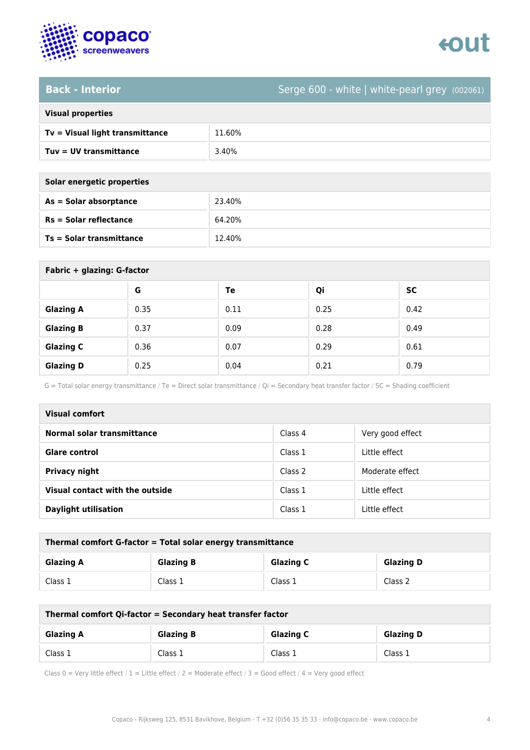

# tout

**Back - Interior** Serge 600 - white | white-pearl grey (002061)

## **Visual properties**

| Tv = Visual light transmittance | 11.60% |
|---------------------------------|--------|
| Tuv = UV transmittance          | 3.40%  |

**Solar energetic properties**

| As = Solar absorptance     | 23.40% |
|----------------------------|--------|
| $Rs = Solar$ reflectance   | 64.20% |
| $Ts = Solar$ transmittance | 12.40% |

| Fabric + glazing: G-factor |      |      |      |      |
|----------------------------|------|------|------|------|
|                            | G    | Te   | Qi   | SC   |
| <b>Glazing A</b>           | 0.35 | 0.11 | 0.25 | 0.42 |
| <b>Glazing B</b>           | 0.37 | 0.09 | 0.28 | 0.49 |
| <b>Glazing C</b>           | 0.36 | 0.07 | 0.29 | 0.61 |
| <b>Glazing D</b>           | 0.25 | 0.04 | 0.21 | 0.79 |

G = Total solar energy transmittance / Te = Direct solar transmittance / Qi = Secondary heat transfer factor / SC = Shading coefficient

| Visual comfort                  |         |                  |  |
|---------------------------------|---------|------------------|--|
| Normal solar transmittance      | Class 4 | Very good effect |  |
| <b>Glare control</b>            | Class 1 | Little effect    |  |
| <b>Privacy night</b>            | Class 2 | Moderate effect  |  |
| Visual contact with the outside | Class 1 | Little effect    |  |
| <b>Daylight utilisation</b>     | Class 1 | Little effect    |  |

| Thermal comfort G-factor = Total solar energy transmittance                  |         |         |         |  |  |
|------------------------------------------------------------------------------|---------|---------|---------|--|--|
| <b>Glazing C</b><br><b>Glazing B</b><br><b>Glazing D</b><br><b>Glazing A</b> |         |         |         |  |  |
| Class 1                                                                      | Class 1 | Class 1 | Class 2 |  |  |

| Thermal comfort Qi-factor = Secondary heat transfer factor                   |         |         |         |  |  |
|------------------------------------------------------------------------------|---------|---------|---------|--|--|
| <b>Glazing C</b><br><b>Glazing B</b><br><b>Glazing D</b><br><b>Glazing A</b> |         |         |         |  |  |
| Class 1                                                                      | Class 1 | Class 1 | Class 1 |  |  |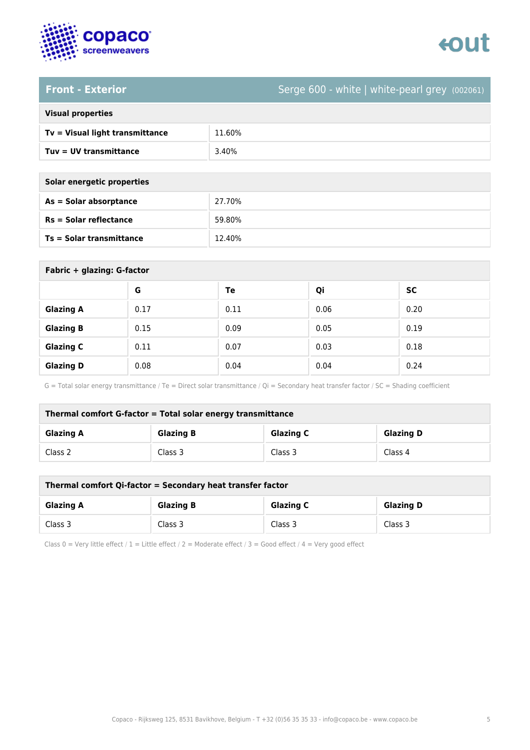

## tout

**Front - Exterior** Serge 600 - white | white-pearl grey (002061)

| <b>Visual properties</b> |  |  |
|--------------------------|--|--|
|                          |  |  |

| Tv = Visual light transmittance | 11.60% |
|---------------------------------|--------|
| Tuv = UV transmittance          | 3.40%  |
|                                 |        |

| Solar energetic properties |        |  |
|----------------------------|--------|--|
| As = Solar absorptance     | 27.70% |  |
| $Rs = Solar$ reflectance   | 59.80% |  |

**Ts = Solar transmittance** 12.40%

| Fabric + glazing: G-factor |      |      |      |           |
|----------------------------|------|------|------|-----------|
|                            | G    | Te   | Qi   | <b>SC</b> |
| <b>Glazing A</b>           | 0.17 | 0.11 | 0.06 | 0.20      |
| <b>Glazing B</b>           | 0.15 | 0.09 | 0.05 | 0.19      |
| <b>Glazing C</b>           | 0.11 | 0.07 | 0.03 | 0.18      |
| <b>Glazing D</b>           | 0.08 | 0.04 | 0.04 | 0.24      |

G = Total solar energy transmittance / Te = Direct solar transmittance / Qi = Secondary heat transfer factor / SC = Shading coefficient

| Thermal comfort G-factor = Total solar energy transmittance                  |         |         |         |  |  |
|------------------------------------------------------------------------------|---------|---------|---------|--|--|
| <b>Glazing C</b><br><b>Glazing B</b><br><b>Glazing D</b><br><b>Glazing A</b> |         |         |         |  |  |
| Class 2                                                                      | Class 3 | Class 3 | Class 4 |  |  |

| Thermal comfort Qi-factor = Secondary heat transfer factor                   |         |         |         |  |  |
|------------------------------------------------------------------------------|---------|---------|---------|--|--|
| <b>Glazing B</b><br><b>Glazing C</b><br><b>Glazing D</b><br><b>Glazing A</b> |         |         |         |  |  |
| Class 3                                                                      | Class 3 | Class 3 | Class 3 |  |  |